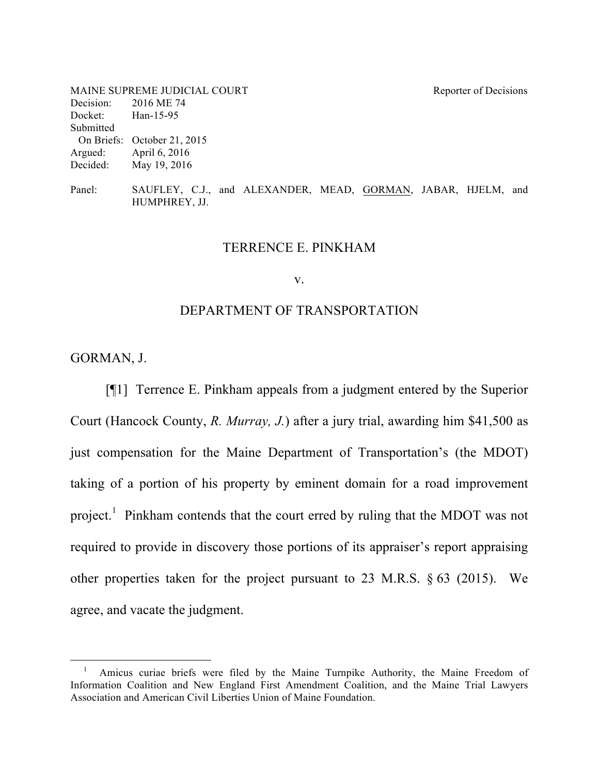| MAINE SUPREME JUDICIAL COURT |                             | Reporter of Decisions |
|------------------------------|-----------------------------|-----------------------|
| Decision:                    | 2016 ME 74                  |                       |
| Docket:                      | Han-15-95                   |                       |
| Submitted                    |                             |                       |
|                              | On Briefs: October 21, 2015 |                       |
|                              | Argued: April 6, 2016       |                       |
| Decided:                     | May 19, 2016                |                       |
|                              |                             |                       |
|                              |                             |                       |

Panel: SAUFLEY, C.J., and ALEXANDER, MEAD, GORMAN, JABAR, HJELM, and HUMPHREY, JJ.

#### TERRENCE E. PINKHAM

#### v.

#### DEPARTMENT OF TRANSPORTATION

GORMAN, J.

[¶1] Terrence E. Pinkham appeals from a judgment entered by the Superior Court (Hancock County, *R. Murray, J.*) after a jury trial, awarding him \$41,500 as just compensation for the Maine Department of Transportation's (the MDOT) taking of a portion of his property by eminent domain for a road improvement project.<sup>1</sup> Pinkham contends that the court erred by ruling that the MDOT was not required to provide in discovery those portions of its appraiser's report appraising other properties taken for the project pursuant to 23 M.R.S. § 63 (2015). We agree, and vacate the judgment.

 $\frac{1}{1}$ <sup>1</sup> Amicus curiae briefs were filed by the Maine Turnpike Authority, the Maine Freedom of Information Coalition and New England First Amendment Coalition, and the Maine Trial Lawyers Association and American Civil Liberties Union of Maine Foundation.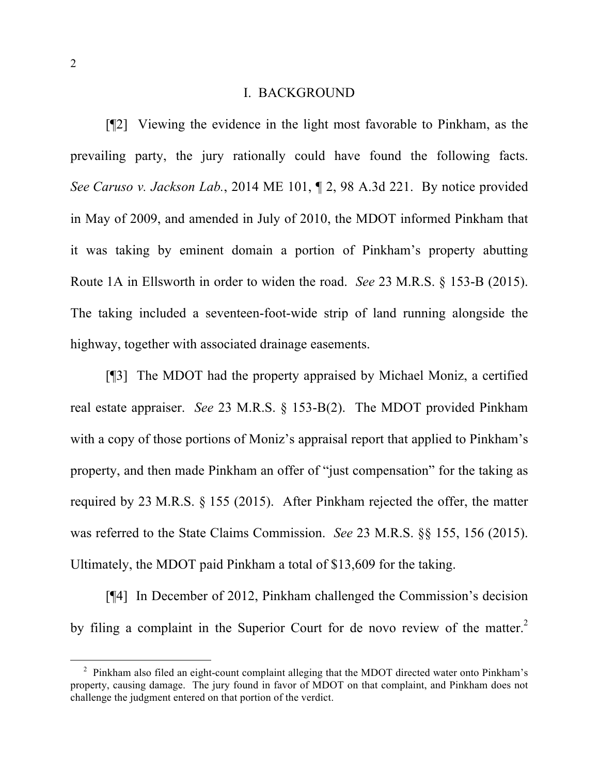### I. BACKGROUND

[¶2] Viewing the evidence in the light most favorable to Pinkham, as the prevailing party, the jury rationally could have found the following facts. *See Caruso v. Jackson Lab.*, 2014 ME 101, ¶ 2, 98 A.3d 221. By notice provided in May of 2009, and amended in July of 2010, the MDOT informed Pinkham that it was taking by eminent domain a portion of Pinkham's property abutting Route 1A in Ellsworth in order to widen the road. *See* 23 M.R.S. § 153-B (2015). The taking included a seventeen-foot-wide strip of land running alongside the highway, together with associated drainage easements.

[¶3] The MDOT had the property appraised by Michael Moniz, a certified real estate appraiser. *See* 23 M.R.S. § 153-B(2). The MDOT provided Pinkham with a copy of those portions of Moniz's appraisal report that applied to Pinkham's property, and then made Pinkham an offer of "just compensation" for the taking as required by 23 M.R.S. § 155 (2015). After Pinkham rejected the offer, the matter was referred to the State Claims Commission. *See* 23 M.R.S. §§ 155, 156 (2015). Ultimately, the MDOT paid Pinkham a total of \$13,609 for the taking.

[¶4] In December of 2012, Pinkham challenged the Commission's decision by filing a complaint in the Superior Court for de novo review of the matter.<sup>2</sup>

<sup>&</sup>lt;sup>2</sup> Pinkham also filed an eight-count complaint alleging that the MDOT directed water onto Pinkham's property, causing damage. The jury found in favor of MDOT on that complaint, and Pinkham does not challenge the judgment entered on that portion of the verdict.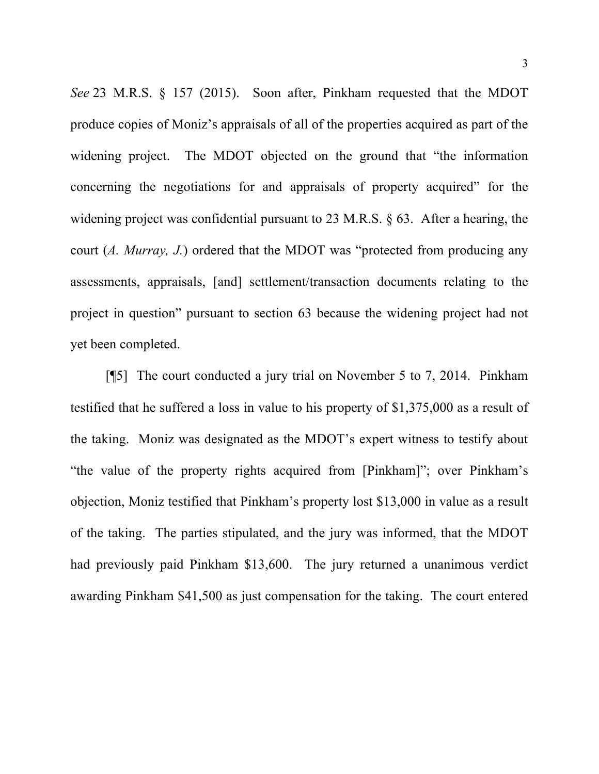*See* 23 M.R.S. § 157 (2015). Soon after, Pinkham requested that the MDOT produce copies of Moniz's appraisals of all of the properties acquired as part of the widening project. The MDOT objected on the ground that "the information concerning the negotiations for and appraisals of property acquired" for the widening project was confidential pursuant to 23 M.R.S. § 63. After a hearing, the court (*A. Murray, J.*) ordered that the MDOT was "protected from producing any assessments, appraisals, [and] settlement/transaction documents relating to the project in question" pursuant to section 63 because the widening project had not yet been completed.

[¶5] The court conducted a jury trial on November 5 to 7, 2014. Pinkham testified that he suffered a loss in value to his property of \$1,375,000 as a result of the taking. Moniz was designated as the MDOT's expert witness to testify about "the value of the property rights acquired from [Pinkham]"; over Pinkham's objection, Moniz testified that Pinkham's property lost \$13,000 in value as a result of the taking. The parties stipulated, and the jury was informed, that the MDOT had previously paid Pinkham \$13,600. The jury returned a unanimous verdict awarding Pinkham \$41,500 as just compensation for the taking. The court entered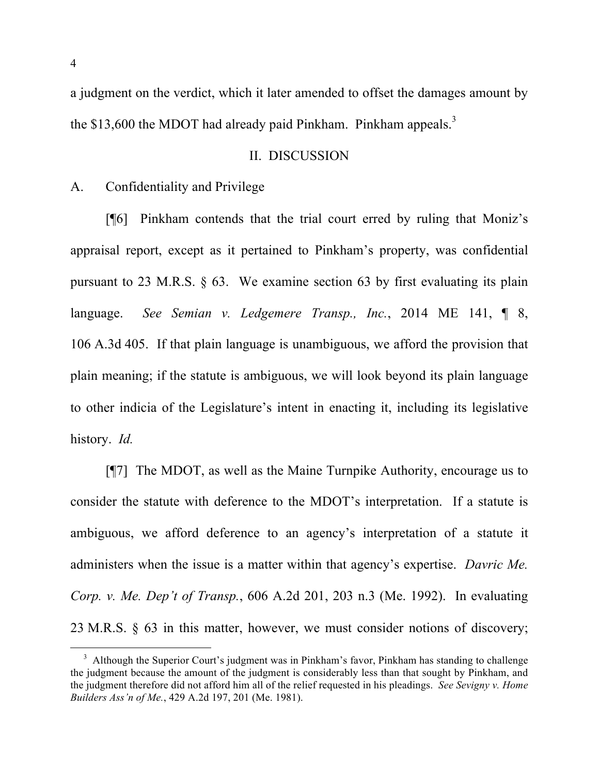a judgment on the verdict, which it later amended to offset the damages amount by the \$13,600 the MDOT had already paid Pinkham. Pinkham appeals.<sup>3</sup>

#### II. DISCUSSION

## A. Confidentiality and Privilege

[¶6] Pinkham contends that the trial court erred by ruling that Moniz's appraisal report, except as it pertained to Pinkham's property, was confidential pursuant to 23 M.R.S. § 63. We examine section 63 by first evaluating its plain language. *See Semian v. Ledgemere Transp., Inc.*, 2014 ME 141, ¶ 8, 106 A.3d 405. If that plain language is unambiguous, we afford the provision that plain meaning; if the statute is ambiguous, we will look beyond its plain language to other indicia of the Legislature's intent in enacting it, including its legislative history. *Id.*

[¶7] The MDOT, as well as the Maine Turnpike Authority, encourage us to consider the statute with deference to the MDOT's interpretation. If a statute is ambiguous, we afford deference to an agency's interpretation of a statute it administers when the issue is a matter within that agency's expertise. *Davric Me. Corp. v. Me. Dep't of Transp.*, 606 A.2d 201, 203 n.3 (Me. 1992). In evaluating 23 M.R.S. § 63 in this matter, however, we must consider notions of discovery;

<sup>&</sup>lt;sup>3</sup> Although the Superior Court's judgment was in Pinkham's favor, Pinkham has standing to challenge the judgment because the amount of the judgment is considerably less than that sought by Pinkham, and the judgment therefore did not afford him all of the relief requested in his pleadings. *See Sevigny v. Home Builders Ass'n of Me.*, 429 A.2d 197, 201 (Me. 1981).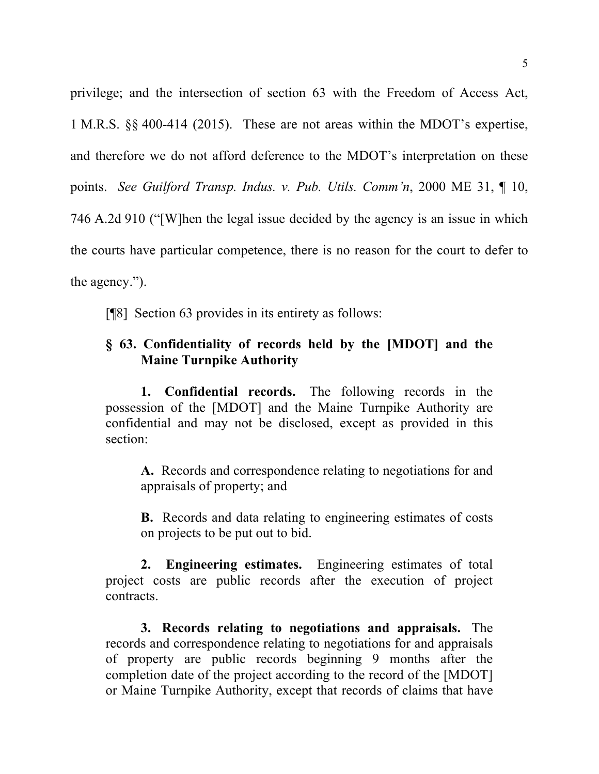privilege; and the intersection of section 63 with the Freedom of Access Act, 1 M.R.S. §§ 400-414 (2015). These are not areas within the MDOT's expertise, and therefore we do not afford deference to the MDOT's interpretation on these points. *See Guilford Transp. Indus. v. Pub. Utils. Comm'n*, 2000 ME 31, ¶ 10, 746 A.2d 910 ("[W]hen the legal issue decided by the agency is an issue in which the courts have particular competence, there is no reason for the court to defer to the agency.").

[¶8] Section 63 provides in its entirety as follows:

# **§ 63. Confidentiality of records held by the [MDOT] and the Maine Turnpike Authority**

**1. Confidential records.** The following records in the possession of the [MDOT] and the Maine Turnpike Authority are confidential and may not be disclosed, except as provided in this section:

**A.** Records and correspondence relating to negotiations for and appraisals of property; and

**B.** Records and data relating to engineering estimates of costs on projects to be put out to bid.

**2. Engineering estimates.** Engineering estimates of total project costs are public records after the execution of project contracts.

**3. Records relating to negotiations and appraisals.** The records and correspondence relating to negotiations for and appraisals of property are public records beginning 9 months after the completion date of the project according to the record of the [MDOT] or Maine Turnpike Authority, except that records of claims that have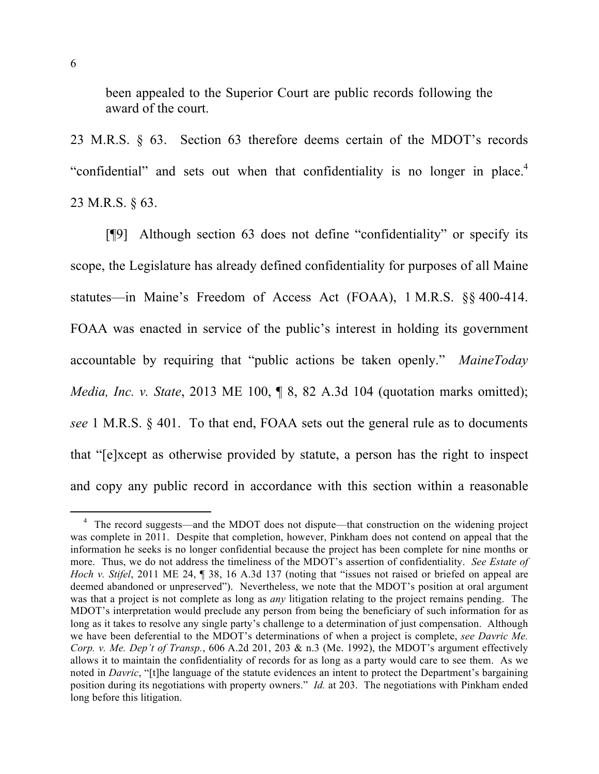been appealed to the Superior Court are public records following the award of the court.

23 M.R.S. § 63. Section 63 therefore deems certain of the MDOT's records "confidential" and sets out when that confidentiality is no longer in place.<sup>4</sup> 23 M.R.S. § 63.

[¶9] Although section 63 does not define "confidentiality" or specify its scope, the Legislature has already defined confidentiality for purposes of all Maine statutes—in Maine's Freedom of Access Act (FOAA), 1 M.R.S. §§ 400-414. FOAA was enacted in service of the public's interest in holding its government accountable by requiring that "public actions be taken openly." *MaineToday Media, Inc. v. State*, 2013 ME 100, ¶ 8, 82 A.3d 104 (quotation marks omitted); *see* 1 M.R.S. § 401. To that end, FOAA sets out the general rule as to documents that "[e]xcept as otherwise provided by statute, a person has the right to inspect and copy any public record in accordance with this section within a reasonable

<sup>&</sup>lt;sup>4</sup> The record suggests—and the MDOT does not dispute—that construction on the widening project was complete in 2011. Despite that completion, however, Pinkham does not contend on appeal that the information he seeks is no longer confidential because the project has been complete for nine months or more. Thus, we do not address the timeliness of the MDOT's assertion of confidentiality. *See Estate of Hoch v. Stifel*, 2011 ME 24,  $\P$  38, 16 A.3d 137 (noting that "issues not raised or briefed on appeal are deemed abandoned or unpreserved"). Nevertheless, we note that the MDOT's position at oral argument was that a project is not complete as long as *any* litigation relating to the project remains pending. The MDOT's interpretation would preclude any person from being the beneficiary of such information for as long as it takes to resolve any single party's challenge to a determination of just compensation. Although we have been deferential to the MDOT's determinations of when a project is complete, *see Davric Me. Corp. v. Me. Dep't of Transp.*, 606 A.2d 201, 203 & n.3 (Me. 1992), the MDOT's argument effectively allows it to maintain the confidentiality of records for as long as a party would care to see them. As we noted in *Davric*, "[t]he language of the statute evidences an intent to protect the Department's bargaining position during its negotiations with property owners." *Id.* at 203. The negotiations with Pinkham ended long before this litigation.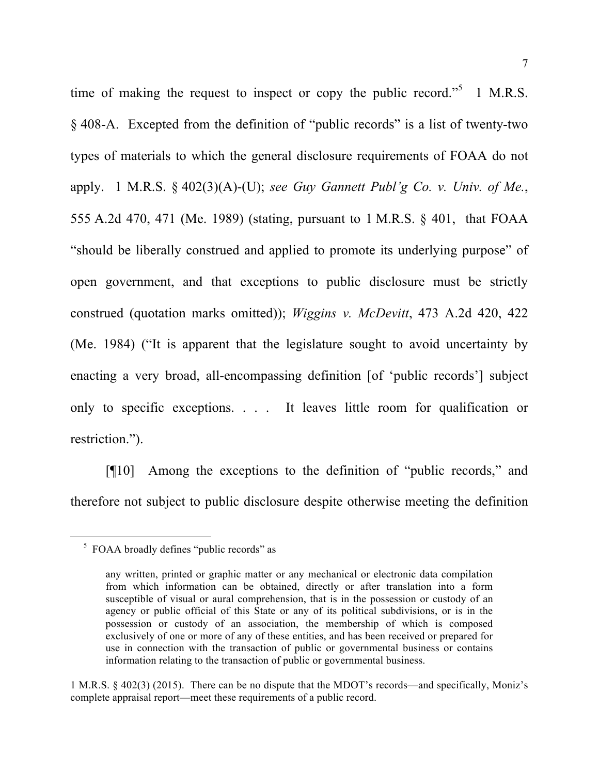time of making the request to inspect or copy the public record.<sup> $5$ </sup> 1 M.R.S. § 408-A. Excepted from the definition of "public records" is a list of twenty-two types of materials to which the general disclosure requirements of FOAA do not apply. 1 M.R.S. § 402(3)(A)-(U); *see Guy Gannett Publ'g Co. v. Univ. of Me.*, 555 A.2d 470, 471 (Me. 1989) (stating, pursuant to 1 M.R.S. § 401, that FOAA "should be liberally construed and applied to promote its underlying purpose" of open government, and that exceptions to public disclosure must be strictly construed (quotation marks omitted)); *Wiggins v. McDevitt*, 473 A.2d 420, 422 (Me. 1984) ("It is apparent that the legislature sought to avoid uncertainty by enacting a very broad, all-encompassing definition [of 'public records'] subject only to specific exceptions. . . . It leaves little room for qualification or restriction.").

[¶10] Among the exceptions to the definition of "public records," and therefore not subject to public disclosure despite otherwise meeting the definition

 <sup>5</sup> FOAA broadly defines "public records" as

any written, printed or graphic matter or any mechanical or electronic data compilation from which information can be obtained, directly or after translation into a form susceptible of visual or aural comprehension, that is in the possession or custody of an agency or public official of this State or any of its political subdivisions, or is in the possession or custody of an association, the membership of which is composed exclusively of one or more of any of these entities, and has been received or prepared for use in connection with the transaction of public or governmental business or contains information relating to the transaction of public or governmental business.

<sup>1</sup> M.R.S. § 402(3) (2015). There can be no dispute that the MDOT's records—and specifically, Moniz's complete appraisal report—meet these requirements of a public record.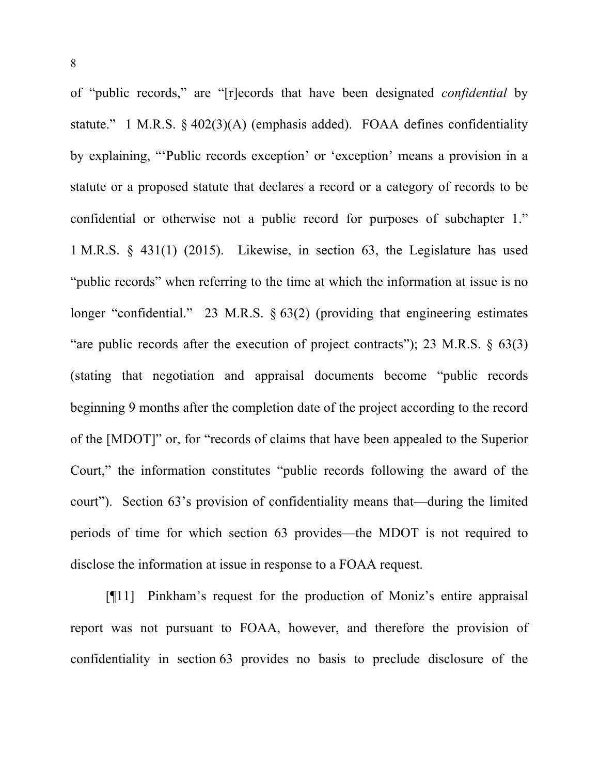of "public records," are "[r]ecords that have been designated *confidential* by statute." 1 M.R.S. § 402(3)(A) (emphasis added). FOAA defines confidentiality by explaining, "'Public records exception' or 'exception' means a provision in a statute or a proposed statute that declares a record or a category of records to be confidential or otherwise not a public record for purposes of subchapter 1." 1 M.R.S. § 431(1) (2015). Likewise, in section 63, the Legislature has used "public records" when referring to the time at which the information at issue is no longer "confidential." 23 M.R.S. § 63(2) (providing that engineering estimates "are public records after the execution of project contracts"); 23 M.R.S.  $\S$  63(3) (stating that negotiation and appraisal documents become "public records beginning 9 months after the completion date of the project according to the record of the [MDOT]" or, for "records of claims that have been appealed to the Superior Court," the information constitutes "public records following the award of the court"). Section 63's provision of confidentiality means that—during the limited periods of time for which section 63 provides—the MDOT is not required to disclose the information at issue in response to a FOAA request.

[¶11] Pinkham's request for the production of Moniz's entire appraisal report was not pursuant to FOAA, however, and therefore the provision of confidentiality in section 63 provides no basis to preclude disclosure of the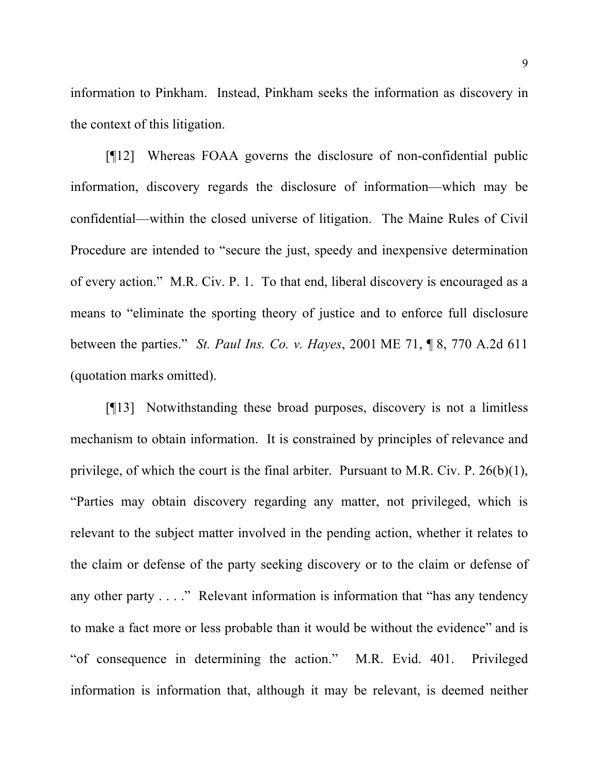information to Pinkham. Instead, Pinkham seeks the information as discovery in the context of this litigation.

[¶12] Whereas FOAA governs the disclosure of non-confidential public information, discovery regards the disclosure of information—which may be confidential—within the closed universe of litigation. The Maine Rules of Civil Procedure are intended to "secure the just, speedy and inexpensive determination of every action." M.R. Civ. P. 1. To that end, liberal discovery is encouraged as a means to "eliminate the sporting theory of justice and to enforce full disclosure between the parties." *St. Paul Ins. Co. v. Hayes*, 2001 ME 71, ¶ 8, 770 A.2d 611 (quotation marks omitted).

[¶13] Notwithstanding these broad purposes, discovery is not a limitless mechanism to obtain information. It is constrained by principles of relevance and privilege, of which the court is the final arbiter. Pursuant to M.R. Civ. P. 26(b)(1), "Parties may obtain discovery regarding any matter, not privileged, which is relevant to the subject matter involved in the pending action, whether it relates to the claim or defense of the party seeking discovery or to the claim or defense of any other party . . . ." Relevant information is information that "has any tendency to make a fact more or less probable than it would be without the evidence" and is "of consequence in determining the action." M.R. Evid. 401. Privileged information is information that, although it may be relevant, is deemed neither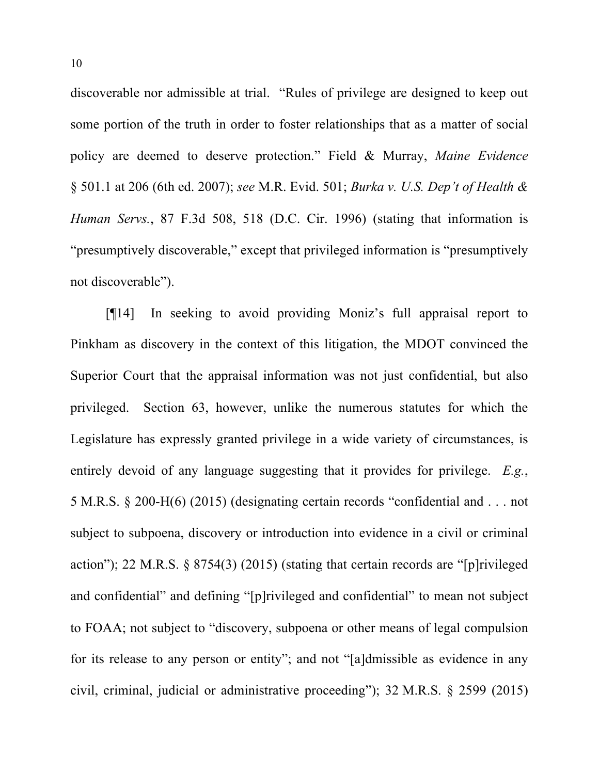discoverable nor admissible at trial. "Rules of privilege are designed to keep out some portion of the truth in order to foster relationships that as a matter of social policy are deemed to deserve protection." Field & Murray, *Maine Evidence* § 501.1 at 206 (6th ed. 2007); *see* M.R. Evid. 501; *Burka v. U.S. Dep't of Health & Human Servs.*, 87 F.3d 508, 518 (D.C. Cir. 1996) (stating that information is "presumptively discoverable," except that privileged information is "presumptively not discoverable").

[¶14] In seeking to avoid providing Moniz's full appraisal report to Pinkham as discovery in the context of this litigation, the MDOT convinced the Superior Court that the appraisal information was not just confidential, but also privileged. Section 63, however, unlike the numerous statutes for which the Legislature has expressly granted privilege in a wide variety of circumstances, is entirely devoid of any language suggesting that it provides for privilege. *E.g.*, 5 M.R.S. § 200-H(6) (2015) (designating certain records "confidential and . . . not subject to subpoena, discovery or introduction into evidence in a civil or criminal action"); 22 M.R.S. § 8754(3) (2015) (stating that certain records are "[p]rivileged and confidential" and defining "[p]rivileged and confidential" to mean not subject to FOAA; not subject to "discovery, subpoena or other means of legal compulsion for its release to any person or entity"; and not "[a]dmissible as evidence in any civil, criminal, judicial or administrative proceeding"); 32 M.R.S. § 2599 (2015)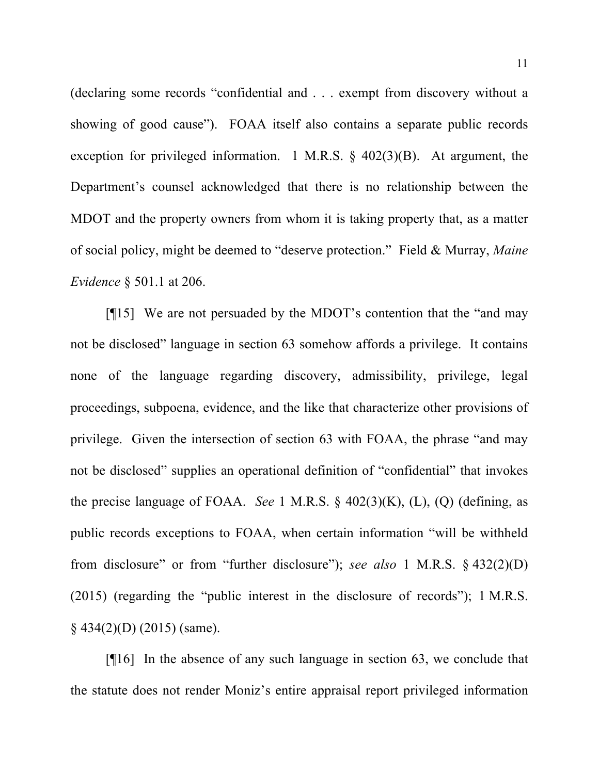(declaring some records "confidential and . . . exempt from discovery without a showing of good cause"). FOAA itself also contains a separate public records exception for privileged information. 1 M.R.S.  $\S$  402(3)(B). At argument, the Department's counsel acknowledged that there is no relationship between the MDOT and the property owners from whom it is taking property that, as a matter of social policy, might be deemed to "deserve protection." Field & Murray, *Maine Evidence* § 501.1 at 206.

[¶15] We are not persuaded by the MDOT's contention that the "and may not be disclosed" language in section 63 somehow affords a privilege. It contains none of the language regarding discovery, admissibility, privilege, legal proceedings, subpoena, evidence, and the like that characterize other provisions of privilege. Given the intersection of section 63 with FOAA, the phrase "and may not be disclosed" supplies an operational definition of "confidential" that invokes the precise language of FOAA. *See* 1 M.R.S. § 402(3)(K), (L), (Q) (defining, as public records exceptions to FOAA, when certain information "will be withheld from disclosure" or from "further disclosure"); *see also* 1 M.R.S. § 432(2)(D) (2015) (regarding the "public interest in the disclosure of records"); 1 M.R.S.  $§$  434(2)(D) (2015) (same).

[¶16] In the absence of any such language in section 63, we conclude that the statute does not render Moniz's entire appraisal report privileged information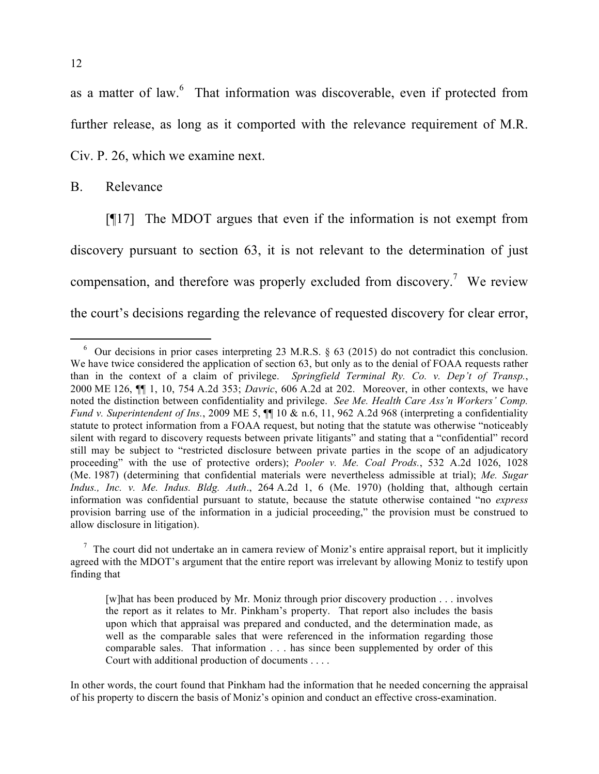as a matter of law.<sup>6</sup> That information was discoverable, even if protected from further release, as long as it comported with the relevance requirement of M.R. Civ. P. 26, which we examine next.

B. Relevance

[¶17] The MDOT argues that even if the information is not exempt from discovery pursuant to section 63, it is not relevant to the determination of just compensation, and therefore was properly excluded from discovery.<sup>7</sup> We review the court's decisions regarding the relevance of requested discovery for clear error,

 <sup>6</sup> Our decisions in prior cases interpreting 23 M.R.S. § 63 (2015) do not contradict this conclusion. We have twice considered the application of section 63, but only as to the denial of FOAA requests rather than in the context of a claim of privilege. *Springfield Terminal Ry. Co. v. Dep't of Transp.*, 2000 ME 126, ¶¶ 1, 10, 754 A.2d 353; *Davric*, 606 A.2d at 202. Moreover, in other contexts, we have noted the distinction between confidentiality and privilege. *See Me. Health Care Ass'n Workers' Comp. Fund v. Superintendent of Ins.*, 2009 ME 5, ¶¶ 10 & n.6, 11, 962 A.2d 968 (interpreting a confidentiality statute to protect information from a FOAA request, but noting that the statute was otherwise "noticeably silent with regard to discovery requests between private litigants" and stating that a "confidential" record still may be subject to "restricted disclosure between private parties in the scope of an adjudicatory proceeding" with the use of protective orders); *Pooler v. Me. Coal Prods.*, 532 A.2d 1026, 1028 (Me. 1987) (determining that confidential materials were nevertheless admissible at trial); *Me. Sugar Indus., Inc. v. Me. Indus. Bldg. Auth*., 264 A.2d 1, 6 (Me. 1970) (holding that, although certain information was confidential pursuant to statute, because the statute otherwise contained "no *express* provision barring use of the information in a judicial proceeding," the provision must be construed to allow disclosure in litigation).

 $<sup>7</sup>$  The court did not undertake an in camera review of Moniz's entire appraisal report, but it implicitly</sup> agreed with the MDOT's argument that the entire report was irrelevant by allowing Moniz to testify upon finding that

<sup>[</sup>w]hat has been produced by Mr. Moniz through prior discovery production . . . involves the report as it relates to Mr. Pinkham's property. That report also includes the basis upon which that appraisal was prepared and conducted, and the determination made, as well as the comparable sales that were referenced in the information regarding those comparable sales. That information . . . has since been supplemented by order of this Court with additional production of documents . . . .

In other words, the court found that Pinkham had the information that he needed concerning the appraisal of his property to discern the basis of Moniz's opinion and conduct an effective cross-examination.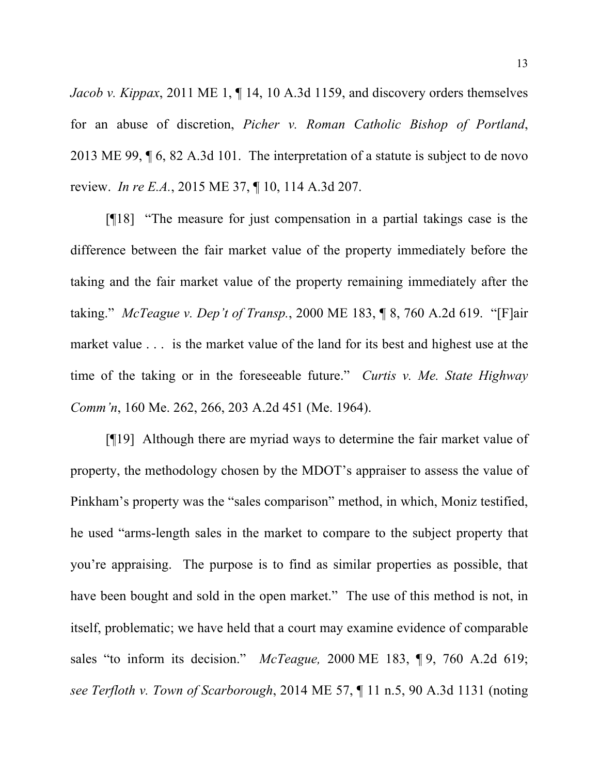*Jacob v. Kippax*, 2011 ME 1, 14, 10 A.3d 1159, and discovery orders themselves for an abuse of discretion, *Picher v. Roman Catholic Bishop of Portland*, 2013 ME 99, ¶ 6, 82 A.3d 101. The interpretation of a statute is subject to de novo review. *In re E.A.*, 2015 ME 37, ¶ 10, 114 A.3d 207.

[¶18] "The measure for just compensation in a partial takings case is the difference between the fair market value of the property immediately before the taking and the fair market value of the property remaining immediately after the taking." *McTeague v. Dep't of Transp.*, 2000 ME 183, ¶ 8, 760 A.2d 619. "[F]air market value . . . is the market value of the land for its best and highest use at the time of the taking or in the foreseeable future." *Curtis v. Me. State Highway Comm'n*, 160 Me. 262, 266, 203 A.2d 451 (Me. 1964).

[¶19] Although there are myriad ways to determine the fair market value of property, the methodology chosen by the MDOT's appraiser to assess the value of Pinkham's property was the "sales comparison" method, in which, Moniz testified, he used "arms-length sales in the market to compare to the subject property that you're appraising. The purpose is to find as similar properties as possible, that have been bought and sold in the open market." The use of this method is not, in itself, problematic; we have held that a court may examine evidence of comparable sales "to inform its decision." *McTeague,* 2000 ME 183, ¶ 9, 760 A.2d 619; *see Terfloth v. Town of Scarborough*, 2014 ME 57, ¶ 11 n.5, 90 A.3d 1131 (noting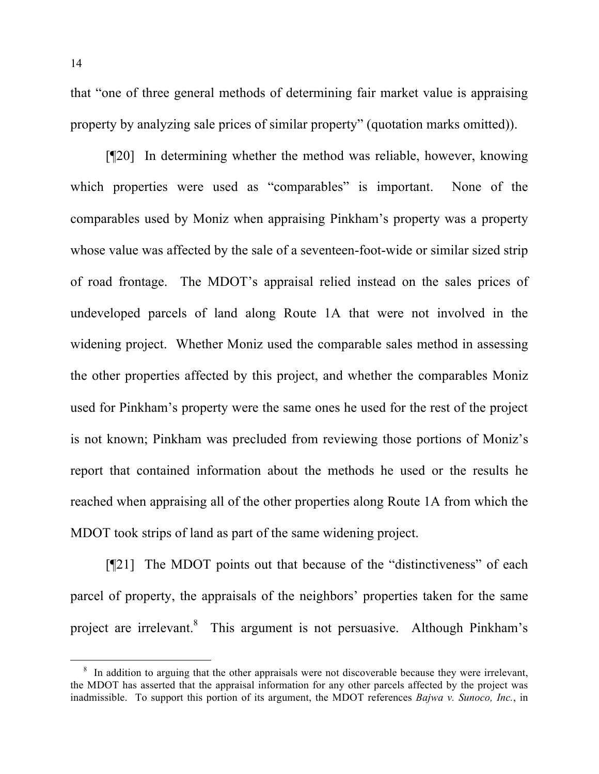that "one of three general methods of determining fair market value is appraising property by analyzing sale prices of similar property" (quotation marks omitted)).

[¶20] In determining whether the method was reliable, however, knowing which properties were used as "comparables" is important. None of the comparables used by Moniz when appraising Pinkham's property was a property whose value was affected by the sale of a seventeen-foot-wide or similar sized strip of road frontage. The MDOT's appraisal relied instead on the sales prices of undeveloped parcels of land along Route 1A that were not involved in the widening project. Whether Moniz used the comparable sales method in assessing the other properties affected by this project, and whether the comparables Moniz used for Pinkham's property were the same ones he used for the rest of the project is not known; Pinkham was precluded from reviewing those portions of Moniz's report that contained information about the methods he used or the results he reached when appraising all of the other properties along Route 1A from which the MDOT took strips of land as part of the same widening project.

[¶21] The MDOT points out that because of the "distinctiveness" of each parcel of property, the appraisals of the neighbors' properties taken for the same project are irrelevant.<sup>8</sup> This argument is not persuasive. Although Pinkham's

<sup>&</sup>lt;sup>8</sup> In addition to arguing that the other appraisals were not discoverable because they were irrelevant, the MDOT has asserted that the appraisal information for any other parcels affected by the project was inadmissible. To support this portion of its argument, the MDOT references *Bajwa v. Sunoco, Inc.*, in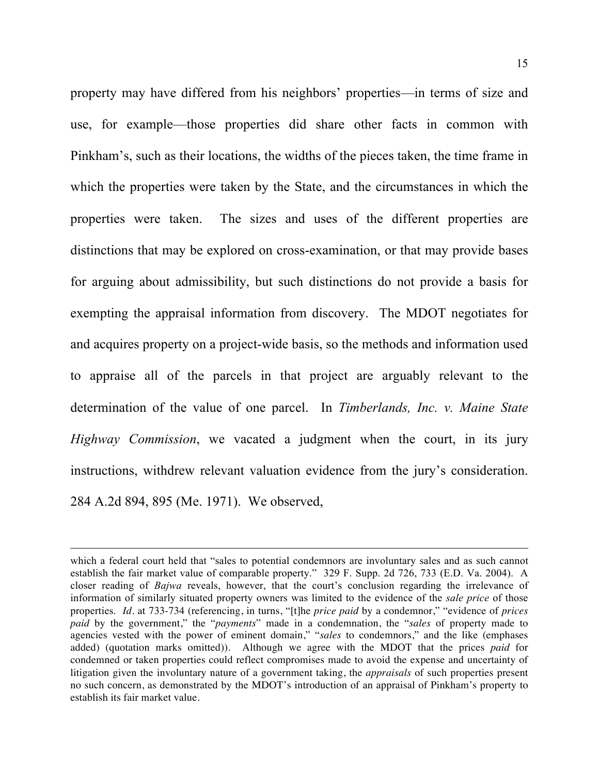property may have differed from his neighbors' properties—in terms of size and use, for example—those properties did share other facts in common with Pinkham's, such as their locations, the widths of the pieces taken, the time frame in which the properties were taken by the State, and the circumstances in which the properties were taken. The sizes and uses of the different properties are distinctions that may be explored on cross-examination, or that may provide bases for arguing about admissibility, but such distinctions do not provide a basis for exempting the appraisal information from discovery. The MDOT negotiates for and acquires property on a project-wide basis, so the methods and information used to appraise all of the parcels in that project are arguably relevant to the determination of the value of one parcel. In *Timberlands, Inc. v. Maine State Highway Commission*, we vacated a judgment when the court, in its jury instructions, withdrew relevant valuation evidence from the jury's consideration. 284 A.2d 894, 895 (Me. 1971). We observed,

which a federal court held that "sales to potential condemnors are involuntary sales and as such cannot establish the fair market value of comparable property." 329 F. Supp. 2d 726, 733 (E.D. Va. 2004). A closer reading of *Bajwa* reveals, however, that the court's conclusion regarding the irrelevance of information of similarly situated property owners was limited to the evidence of the *sale price* of those properties. *Id.* at 733-734 (referencing, in turns, "[t]he *price paid* by a condemnor," "evidence of *prices paid* by the government," the "*payments*" made in a condemnation, the "*sales* of property made to agencies vested with the power of eminent domain," "*sales* to condemnors," and the like (emphases added) (quotation marks omitted)). Although we agree with the MDOT that the prices *paid* for condemned or taken properties could reflect compromises made to avoid the expense and uncertainty of litigation given the involuntary nature of a government taking, the *appraisals* of such properties present no such concern, as demonstrated by the MDOT's introduction of an appraisal of Pinkham's property to establish its fair market value.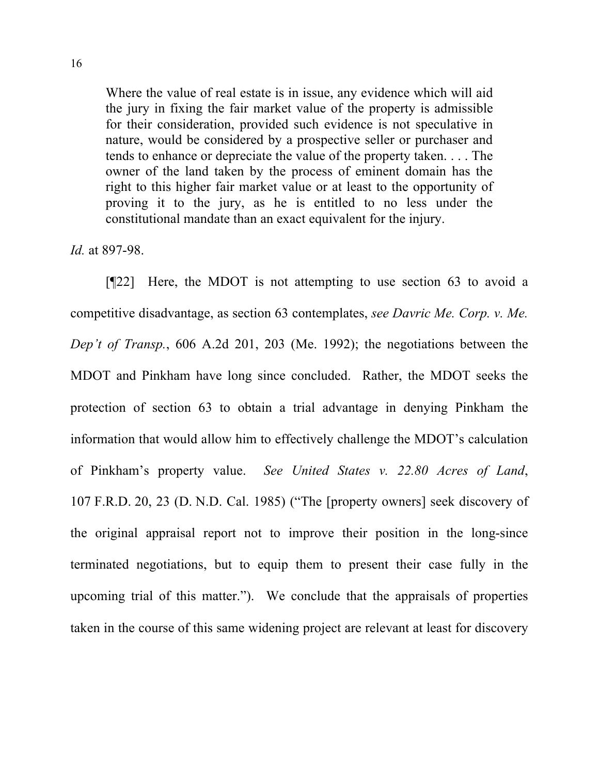Where the value of real estate is in issue, any evidence which will aid the jury in fixing the fair market value of the property is admissible for their consideration, provided such evidence is not speculative in nature, would be considered by a prospective seller or purchaser and tends to enhance or depreciate the value of the property taken. . . . The owner of the land taken by the process of eminent domain has the right to this higher fair market value or at least to the opportunity of proving it to the jury, as he is entitled to no less under the constitutional mandate than an exact equivalent for the injury.

*Id.* at 897-98.

[¶22] Here, the MDOT is not attempting to use section 63 to avoid a competitive disadvantage, as section 63 contemplates, *see Davric Me. Corp. v. Me. Dep't of Transp.*, 606 A.2d 201, 203 (Me. 1992); the negotiations between the MDOT and Pinkham have long since concluded. Rather, the MDOT seeks the protection of section 63 to obtain a trial advantage in denying Pinkham the information that would allow him to effectively challenge the MDOT's calculation of Pinkham's property value. *See United States v. 22.80 Acres of Land*, 107 F.R.D. 20, 23 (D. N.D. Cal. 1985) ("The [property owners] seek discovery of the original appraisal report not to improve their position in the long-since terminated negotiations, but to equip them to present their case fully in the upcoming trial of this matter."). We conclude that the appraisals of properties taken in the course of this same widening project are relevant at least for discovery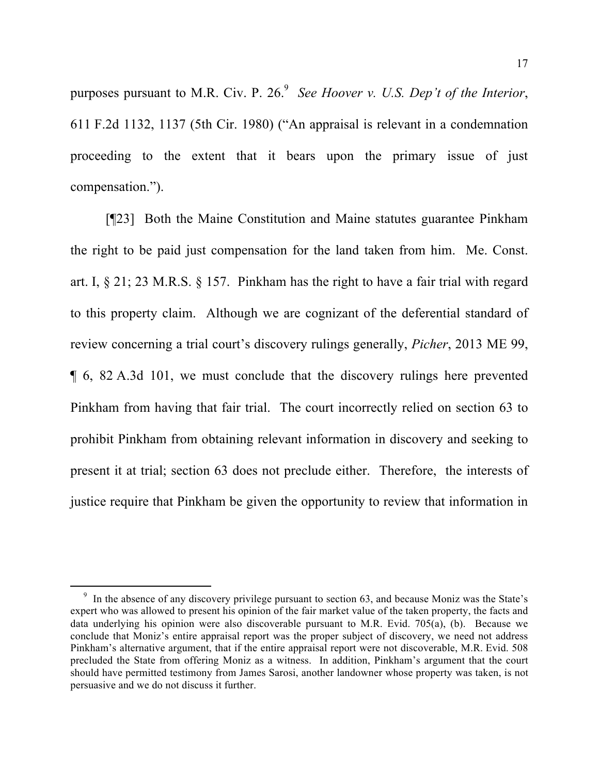purposes pursuant to M.R. Civ. P. 26.<sup>9</sup> *See Hoover v. U.S. Dep't of the Interior*, 611 F.2d 1132, 1137 (5th Cir. 1980) ("An appraisal is relevant in a condemnation proceeding to the extent that it bears upon the primary issue of just compensation.").

[¶23] Both the Maine Constitution and Maine statutes guarantee Pinkham the right to be paid just compensation for the land taken from him. Me. Const. art. I, § 21; 23 M.R.S. § 157. Pinkham has the right to have a fair trial with regard to this property claim. Although we are cognizant of the deferential standard of review concerning a trial court's discovery rulings generally, *Picher*, 2013 ME 99, ¶ 6, 82 A.3d 101, we must conclude that the discovery rulings here prevented Pinkham from having that fair trial. The court incorrectly relied on section 63 to prohibit Pinkham from obtaining relevant information in discovery and seeking to present it at trial; section 63 does not preclude either. Therefore, the interests of justice require that Pinkham be given the opportunity to review that information in

<sup>&</sup>lt;sup>9</sup> In the absence of any discovery privilege pursuant to section 63, and because Moniz was the State's expert who was allowed to present his opinion of the fair market value of the taken property, the facts and data underlying his opinion were also discoverable pursuant to M.R. Evid. 705(a), (b). Because we conclude that Moniz's entire appraisal report was the proper subject of discovery, we need not address Pinkham's alternative argument, that if the entire appraisal report were not discoverable, M.R. Evid. 508 precluded the State from offering Moniz as a witness. In addition, Pinkham's argument that the court should have permitted testimony from James Sarosi, another landowner whose property was taken, is not persuasive and we do not discuss it further.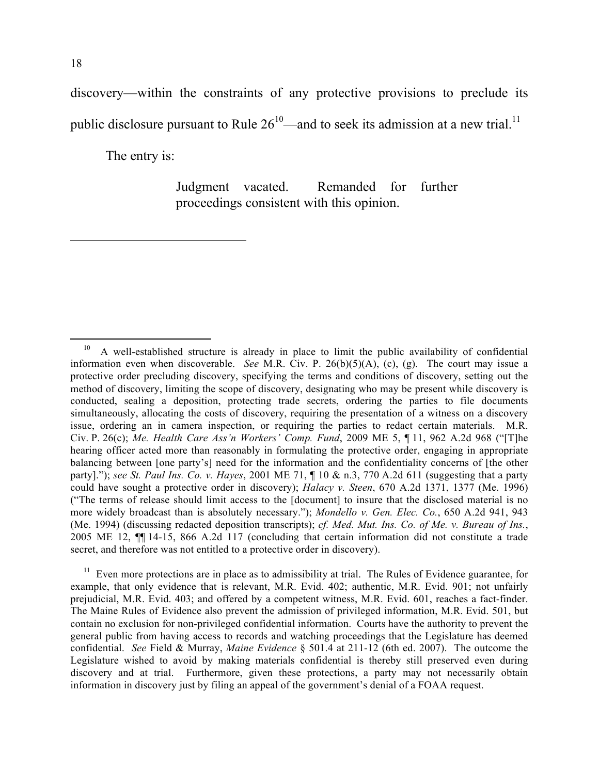discovery—within the constraints of any protective provisions to preclude its public disclosure pursuant to Rule  $26^{10}$ —and to seek its admission at a new trial.<sup>11</sup>

The entry is:

Judgment vacated. Remanded for further proceedings consistent with this opinion.

 $11$  Even more protections are in place as to admissibility at trial. The Rules of Evidence guarantee, for example, that only evidence that is relevant, M.R. Evid. 402; authentic, M.R. Evid. 901; not unfairly prejudicial, M.R. Evid. 403; and offered by a competent witness, M.R. Evid. 601, reaches a fact-finder. The Maine Rules of Evidence also prevent the admission of privileged information, M.R. Evid. 501, but contain no exclusion for non-privileged confidential information. Courts have the authority to prevent the general public from having access to records and watching proceedings that the Legislature has deemed confidential. *See* Field & Murray, *Maine Evidence* § 501.4 at 211-12 (6th ed. 2007). The outcome the Legislature wished to avoid by making materials confidential is thereby still preserved even during discovery and at trial. Furthermore, given these protections, a party may not necessarily obtain information in discovery just by filing an appeal of the government's denial of a FOAA request.

<sup>&</sup>lt;sup>10</sup> A well-established structure is already in place to limit the public availability of confidential information even when discoverable. *See* M.R. Civ. P. 26(b)(5)(A), (c), (g). The court may issue a protective order precluding discovery, specifying the terms and conditions of discovery, setting out the method of discovery, limiting the scope of discovery, designating who may be present while discovery is conducted, sealing a deposition, protecting trade secrets, ordering the parties to file documents simultaneously, allocating the costs of discovery, requiring the presentation of a witness on a discovery issue, ordering an in camera inspection, or requiring the parties to redact certain materials. M.R. Civ. P. 26(c); *Me. Health Care Ass'n Workers' Comp. Fund*, 2009 ME 5, ¶ 11, 962 A.2d 968 ("[T]he hearing officer acted more than reasonably in formulating the protective order, engaging in appropriate balancing between [one party's] need for the information and the confidentiality concerns of [the other party]."); *see St. Paul Ins. Co. v. Hayes*, 2001 ME 71, ¶ 10 & n.3, 770 A.2d 611 (suggesting that a party could have sought a protective order in discovery); *Halacy v. Steen*, 670 A.2d 1371, 1377 (Me. 1996) ("The terms of release should limit access to the [document] to insure that the disclosed material is no more widely broadcast than is absolutely necessary."); *Mondello v. Gen. Elec. Co.*, 650 A.2d 941, 943 (Me. 1994) (discussing redacted deposition transcripts); *cf. Med. Mut. Ins. Co. of Me. v. Bureau of Ins.*, 2005 ME 12, ¶¶ 14-15, 866 A.2d 117 (concluding that certain information did not constitute a trade secret, and therefore was not entitled to a protective order in discovery).